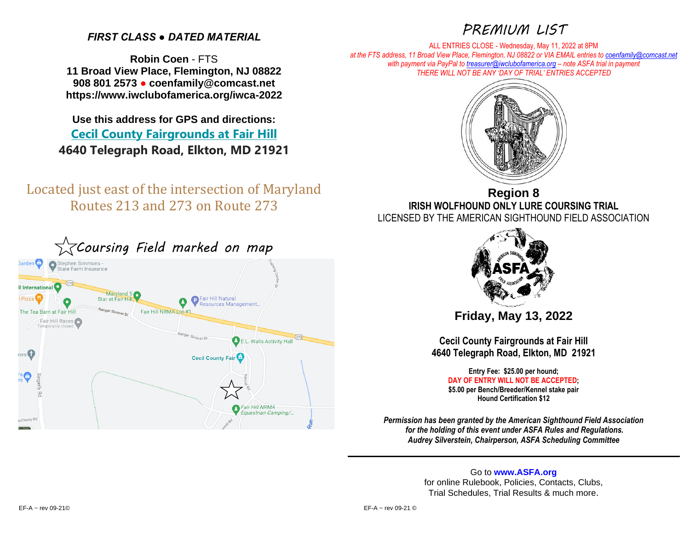# *FIRST CLASS ● DATED MATERIAL*

**Robin Coen** - FTS **11 Broad View Place, Flemington, NJ 08822 908 801 2573 ● coenfamily@comcast.net https://www.iwclubofamerica.org/iwca-2022**

**Use this address for GPS and directions: [Cecil County Fairgrounds at Fair Hill](https://www.cecilcountyfair.org/) 4640 Telegraph Road, Elkton, MD 21921**

Located just east of the intersection of Maryland Routes 213 and 273 on Route 273



*PREMIUM LIST*

ALL ENTRIES CLOSE - Wednesday, May 11, 2022 at 8PM *at the FTS address, 11 Broad View Place, Flemington, NJ 08822 or VIA EMAIL entries t[o coenfamily@comcast.net](mailto:coenfamily@comcast.net) with payment via PayPal t[o treasurer@iwclubofamerica.org](mailto:treasurer@iwclubofamerica.org) – note ASFA trial in payment THERE WILL NOT BE ANY 'DAY OF TRIAL' ENTRIES ACCEPTED*



**Region 8 IRISH WOLFHOUND ONLY LURE COURSING TRIAL** LICENSED BY THE AMERICAN SIGHTHOUND FIELD ASSOCIATION



**Friday, May 13, 2022**

**Cecil County Fairgrounds at Fair Hill 4640 Telegraph Road, Elkton, MD 21921**

> **Entry Fee: \$25.00 per hound; DAY OF ENTRY WILL NOT BE ACCEPTED; \$5.00 per Bench/Breeder/Kennel stake pair Hound Certification \$12**

*Permission has been granted by the American Sighthound Field Association for the holding of this event under ASFA Rules and Regulations. Audrey Silverstein, Chairperson, ASFA Scheduling Committee*

> Go to **[www.ASFA.org](http://www.asfa.org/)** for online Rulebook, Policies, Contacts, Clubs, Trial Schedules, Trial Results & much more.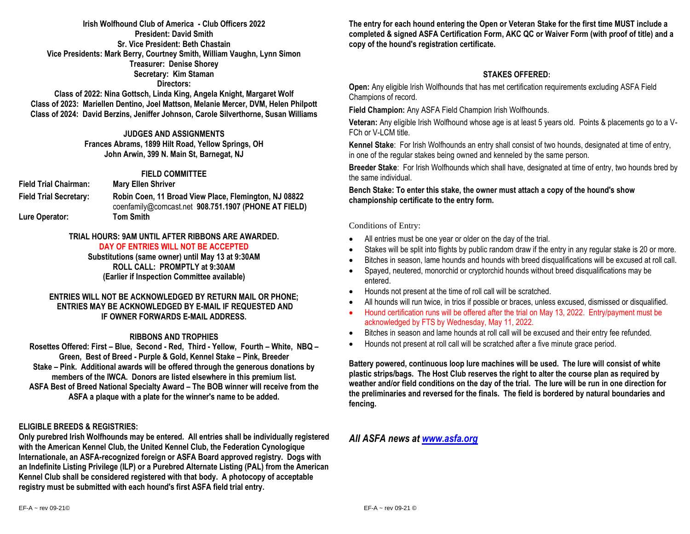## **Irish Wolfhound Club of America - Club Officers 2022 President: David Smith Sr. Vice President: Beth Chastain Vice Presidents: Mark Berry, Courtney Smith, William Vaughn, Lynn Simon Treasurer: Denise Shorey Secretary: Kim Staman Directors:**

**Class of 2022: Nina Gottsch, Linda King, Angela Knight, Margaret Wolf Class of 2023: Mariellen Dentino, Joel Mattson, Melanie Mercer, DVM, Helen Philpott Class of 2024: David Berzins, Jeniffer Johnson, Carole Silverthorne, Susan Williams**

## **JUDGES AND ASSIGNMENTS**

**Frances Abrams, 1899 Hilt Road, Yellow Springs, OH John Arwin, 399 N. Main St, Barnegat, NJ** 

## **FIELD COMMITTEE**

**Field Trial Chairman: Mary Ellen Shriver Field Trial Secretary: Robin Coen, 11 Broad View Place, Flemington, NJ 08822**  [coenfamily@comcast.net](mailto:coenfamily@comcast.net) **908.751.1907 (PHONE AT FIELD) Lure Operator: Tom Smith**

### **TRIAL HOURS: 9AM UNTIL AFTER RIBBONS ARE AWARDED. DAY OF ENTRIES WILL NOT BE ACCEPTED**

**Substitutions (same owner) until May 13 at 9:30AM ROLL CALL: PROMPTLY at 9:30AM (Earlier if Inspection Committee available)**

## **ENTRIES WILL NOT BE ACKNOWLEDGED BY RETURN MAIL OR PHONE; ENTRIES MAY BE ACKNOWLEDGED BY E-MAIL IF REQUESTED AND IF OWNER FORWARDS E-MAIL ADDRESS.**

## **RIBBONS AND TROPHIES**

**Rosettes Offered: First – Blue, Second - Red, Third - Yellow, Fourth – White, NBQ – Green, Best of Breed - Purple & Gold, Kennel Stake – Pink, Breeder Stake – Pink. Additional awards will be offered through the generous donations by members of the IWCA. Donors are listed elsewhere in this premium list. ASFA Best of Breed National Specialty Award – The BOB winner will receive from the ASFA a plaque with a plate for the winner's name to be added.**

## **ELIGIBLE BREEDS & REGISTRIES:**

**Only purebred Irish Wolfhounds may be entered. All entries shall be individually registered with the American Kennel Club, the United Kennel Club, the Federation Cynologique Internationale, an ASFA-recognized foreign or ASFA Board approved registry. Dogs with an Indefinite Listing Privilege (ILP) or a Purebred Alternate Listing (PAL) from the American Kennel Club shall be considered registered with that body. A photocopy of acceptable registry must be submitted with each hound's first ASFA field trial entry.**

**The entry for each hound entering the Open or Veteran Stake for the first time MUST include a completed & signed ASFA Certification Form, AKC QC or Waiver Form (with proof of title) and a copy of the hound's registration certificate.**

## **STAKES OFFERED:**

**Open:** Any eligible Irish Wolfhounds that has met certification requirements excluding ASFA Field Champions of record.

**Field Champion:** Any ASFA Field Champion Irish Wolfhounds.

**Veteran:** Any eligible Irish Wolfhound whose age is at least 5 years old. Points & placements go to a V-FCh or V-LCM title.

**Kennel Stake**: For Irish Wolfhounds an entry shall consist of two hounds, designated at time of entry, in one of the regular stakes being owned and kenneled by the same person.

**Breeder Stake**: For Irish Wolfhounds which shall have, designated at time of entry, two hounds bred by the same individual.

**Bench Stake: To enter this stake, the owner must attach a copy of the hound's show championship certificate to the entry form.**

## Conditions of Entry:

- All entries must be one year or older on the day of the trial.
- Stakes will be split into flights by public random draw if the entry in any regular stake is 20 or more.
- Bitches in season, lame hounds and hounds with breed disqualifications will be excused at roll call.
- Spayed, neutered, monorchid or cryptorchid hounds without breed disqualifications may be entered.
- Hounds not present at the time of roll call will be scratched.
- All hounds will run twice, in trios if possible or braces, unless excused, dismissed or disqualified.
- Hound certification runs will be offered after the trial on May 13, 2022. Entry/payment must be acknowledged by FTS by Wednesday, May 11, 2022.
- Bitches in season and lame hounds at roll call will be excused and their entry fee refunded.
- Hounds not present at roll call will be scratched after a five minute grace period.

**Battery powered, continuous loop lure machines will be used. The lure will consist of white plastic strips/bags. The Host Club reserves the right to alter the course plan as required by weather and/or field conditions on the day of the trial. The lure will be run in one direction for the preliminaries and reversed for the finals. The field is bordered by natural boundaries and fencing.** 

## *All ASFA news at [www.asfa.org](http://www.asfa.org/)*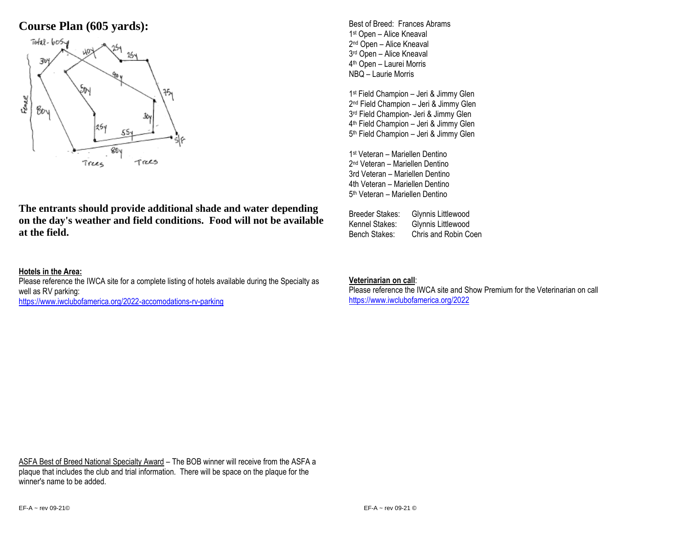# **Course Plan (605 yards):**



**The entrants should provide additional shade and water depending on the day's weather and field conditions. Food will not be available at the field.**

## **Hotels in the Area:**

Please reference the IWCA site for a complete listing of hotels available during the Specialty as well as RV parking:

<https://www.iwclubofamerica.org/2022-accomodations-rv-parking>

Best of Breed: Frances Abrams 1 st Open – Alice Kneaval 2<sup>nd</sup> Open – Alice Kneaval 3 rd Open – Alice Kneaval 4 th Open – Laurei Morris NBQ – Laurie Morris

 st Field Champion – Jeri & Jimmy Glen nd Field Champion – Jeri & Jimmy Glen rd Field Champion- Jeri & Jimmy Glen th Field Champion – Jeri & Jimmy Glen th Field Champion – Jeri & Jimmy Glen

1 st Veteran – Mariellen Dentino 2 nd Veteran – Mariellen Dentino 3rd Veteran – Mariellen Dentino 4th Veteran – Mariellen Dentino 5<sup>th</sup> Veteran – Mariellen Dentino

Breeder Stakes: Glynnis Littlewood Kennel Stakes: Glynnis Littlewood Bench Stakes: Chris and Robin Coen

## **Veterinarian on call**:

Please reference the IWCA site and Show Premium for the Veterinarian on call <https://www.iwclubofamerica.org/2022>

ASFA Best of Breed National Specialty Award – The BOB winner will receive from the ASFA a plaque that includes the club and trial information. There will be space on the plaque for the winner's name to be added.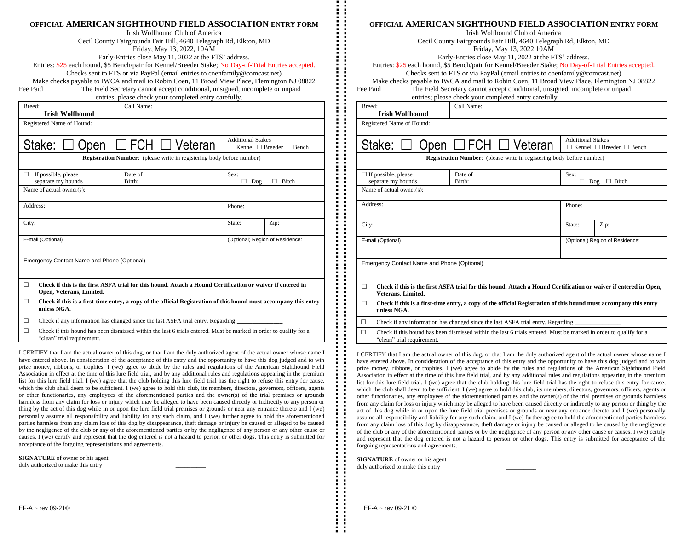|                                                                                                                                                                                           | OFFICIAL AMERICAN SIGHTHOUND FIELD ASSOCIATION ENTRY FORM                                                                                                     |            |                                                                              |                                 |                                           |  |  |  |  |
|-------------------------------------------------------------------------------------------------------------------------------------------------------------------------------------------|---------------------------------------------------------------------------------------------------------------------------------------------------------------|------------|------------------------------------------------------------------------------|---------------------------------|-------------------------------------------|--|--|--|--|
| Irish Wolfhound Club of America                                                                                                                                                           |                                                                                                                                                               |            |                                                                              |                                 |                                           |  |  |  |  |
| Cecil County Fairgrounds Fair Hill, 4640 Telegraph Rd, Elkton, MD                                                                                                                         |                                                                                                                                                               |            |                                                                              |                                 |                                           |  |  |  |  |
| Friday, May 13, 2022, 10AM                                                                                                                                                                |                                                                                                                                                               |            |                                                                              |                                 |                                           |  |  |  |  |
|                                                                                                                                                                                           | Early-Entries close May 11, 2022 at the FTS' address.<br>Entries: \$25 each hound, \$5 Bench/pair for Kennel/Breeder Stake; No Day-of-Trial Entries accepted. |            |                                                                              |                                 |                                           |  |  |  |  |
|                                                                                                                                                                                           |                                                                                                                                                               |            |                                                                              |                                 |                                           |  |  |  |  |
|                                                                                                                                                                                           |                                                                                                                                                               |            | Checks sent to FTS or via PayPal (email entries to coenfamily@comcast.net)   |                                 |                                           |  |  |  |  |
| Make checks payable to IWCA and mail to Robin Coen, 11 Broad View Place, Flemington NJ 08822<br>The Field Secretary cannot accept conditional, unsigned, incomplete or unpaid<br>Fee Paid |                                                                                                                                                               |            |                                                                              |                                 |                                           |  |  |  |  |
| entries; please check your completed entry carefully.                                                                                                                                     |                                                                                                                                                               |            |                                                                              |                                 |                                           |  |  |  |  |
| Breed:                                                                                                                                                                                    |                                                                                                                                                               | Call Name: |                                                                              |                                 |                                           |  |  |  |  |
|                                                                                                                                                                                           | <b>Irish Wolfhound</b>                                                                                                                                        |            |                                                                              |                                 |                                           |  |  |  |  |
|                                                                                                                                                                                           | Registered Name of Hound:                                                                                                                                     |            |                                                                              |                                 |                                           |  |  |  |  |
|                                                                                                                                                                                           |                                                                                                                                                               |            |                                                                              |                                 |                                           |  |  |  |  |
|                                                                                                                                                                                           |                                                                                                                                                               |            |                                                                              | <b>Additional Stakes</b>        |                                           |  |  |  |  |
|                                                                                                                                                                                           | Stake:<br>pen                                                                                                                                                 | FCH        | Veteran                                                                      |                                 | $\Box$ Kennel $\Box$ Breeder $\Box$ Bench |  |  |  |  |
|                                                                                                                                                                                           |                                                                                                                                                               |            | <b>Registration Number:</b> (please write in registering body before number) |                                 |                                           |  |  |  |  |
|                                                                                                                                                                                           |                                                                                                                                                               |            |                                                                              |                                 |                                           |  |  |  |  |
|                                                                                                                                                                                           | $\Box$ If possible, please                                                                                                                                    | Date of    |                                                                              | Sex:                            |                                           |  |  |  |  |
|                                                                                                                                                                                           | separate my hounds                                                                                                                                            | Birth:     |                                                                              | Dog<br>Bitch<br>п<br>П.         |                                           |  |  |  |  |
|                                                                                                                                                                                           | Name of actual owner(s):                                                                                                                                      |            |                                                                              |                                 |                                           |  |  |  |  |
|                                                                                                                                                                                           |                                                                                                                                                               |            |                                                                              |                                 |                                           |  |  |  |  |
| Address:                                                                                                                                                                                  |                                                                                                                                                               |            | Phone:                                                                       |                                 |                                           |  |  |  |  |
|                                                                                                                                                                                           |                                                                                                                                                               |            |                                                                              |                                 |                                           |  |  |  |  |
| City:                                                                                                                                                                                     |                                                                                                                                                               |            |                                                                              | State:                          | Zip:                                      |  |  |  |  |
|                                                                                                                                                                                           |                                                                                                                                                               |            |                                                                              |                                 |                                           |  |  |  |  |
|                                                                                                                                                                                           | E-mail (Optional)                                                                                                                                             |            |                                                                              | (Optional) Region of Residence: |                                           |  |  |  |  |
|                                                                                                                                                                                           |                                                                                                                                                               |            |                                                                              |                                 |                                           |  |  |  |  |
|                                                                                                                                                                                           | Emergency Contact Name and Phone (Optional)                                                                                                                   |            |                                                                              |                                 |                                           |  |  |  |  |
|                                                                                                                                                                                           |                                                                                                                                                               |            |                                                                              |                                 |                                           |  |  |  |  |
|                                                                                                                                                                                           |                                                                                                                                                               |            |                                                                              |                                 |                                           |  |  |  |  |
| $\Box$                                                                                                                                                                                    | Check if this is the first ASFA trial for this hound. Attach a Hound Certification or waiver if entered in                                                    |            |                                                                              |                                 |                                           |  |  |  |  |
|                                                                                                                                                                                           | Open, Veterans, Limited.                                                                                                                                      |            |                                                                              |                                 |                                           |  |  |  |  |
| □                                                                                                                                                                                         | Check if this is a first-time entry, a copy of the official Registration of this hound must accompany this entry<br>unless NGA.                               |            |                                                                              |                                 |                                           |  |  |  |  |
| □                                                                                                                                                                                         | Check if any information has changed since the last ASFA trial entry. Regarding                                                                               |            |                                                                              |                                 |                                           |  |  |  |  |
| □                                                                                                                                                                                         | Check if this hound has been dismissed within the last 6 trials entered. Must be marked in order to qualify for a                                             |            |                                                                              |                                 |                                           |  |  |  |  |
|                                                                                                                                                                                           | "clean" trial requirement.                                                                                                                                    |            |                                                                              |                                 |                                           |  |  |  |  |

I CERTIFY that I am the actual owner of this dog, or that I am the duly authorized agent of the actual owner whose name I have entered above. In consideration of the acceptance of this entry and the opportunity to have this dog judged and to win prize money, ribbons, or trophies, I (we) agree to abide by the rules and regulations of the American Sighthound Field Association in effect at the time of this lure field trial, and by any additional rules and regulations appearing in the premium list for this lure field trial. I (we) agree that the club holding this lure field trial has the right to refuse this entry for cause, which the club shall deem to be sufficient. I (we) agree to hold this club, its members, directors, governors, officers, agents or other functionaries, any employees of the aforementioned parties and the owner(s) of the trial premises or grounds harmless from any claim for loss or injury which may be alleged to have been caused directly or indirectly to any person or thing by the act of this dog while in or upon the lure field trial premises or grounds or near any entrance thereto and I (we) personally assume all responsibility and liability for any such claim, and I (we) further agree to hold the aforementioned parties harmless from any claim loss of this dog by disappearance, theft damage or injury be caused or alleged to be caused by the negligence of the club or any of the aforementioned parties or by the negligence of any person or any other cause or causes. I (we) certify and represent that the dog entered is not a hazard to person or other dogs. This entry is submitted for acceptance of the forgoing representations and agreements.

**SIGNATURE** of owner or his agent duly authorized to make this entry

| <u>OFFICIAL AMERICAN SIGNI NOUND FIELD ASSOCIATION ENIRY FORM</u><br>Irish Wolfhound Club of America                                            |                                                                                                                  |                                 |                                           |  |  |  |
|-------------------------------------------------------------------------------------------------------------------------------------------------|------------------------------------------------------------------------------------------------------------------|---------------------------------|-------------------------------------------|--|--|--|
| Cecil County Fairgrounds Fair Hill, 4640 Telegraph Rd, Elkton, MD                                                                               |                                                                                                                  |                                 |                                           |  |  |  |
| Friday, May 13, 2022 10AM<br>Early-Entries close May 11, 2022 at the FTS' address.                                                              |                                                                                                                  |                                 |                                           |  |  |  |
|                                                                                                                                                 |                                                                                                                  |                                 |                                           |  |  |  |
| Checks sent to FTS or via PayPal (email entries to coenfamily@comcast.net)                                                                      |                                                                                                                  |                                 |                                           |  |  |  |
| Make checks payable to IWCA and mail to Robin Coen, 11 Broad View Place, Flemington NJ 08822                                                    |                                                                                                                  |                                 |                                           |  |  |  |
| The Field Secretary cannot accept conditional, unsigned, incomplete or unpaid<br>Fee Paid                                                       |                                                                                                                  |                                 |                                           |  |  |  |
| entries; please check your completed entry carefully.                                                                                           |                                                                                                                  |                                 |                                           |  |  |  |
| Call Name:<br>Breed:                                                                                                                            |                                                                                                                  |                                 |                                           |  |  |  |
| <b>Irish Wolfhound</b>                                                                                                                          |                                                                                                                  |                                 |                                           |  |  |  |
| Registered Name of Hound:                                                                                                                       |                                                                                                                  |                                 |                                           |  |  |  |
|                                                                                                                                                 |                                                                                                                  | <b>Additional Stakes</b>        |                                           |  |  |  |
| Open $\Box$ FCH $\Box$ Veteran<br>Stake:                                                                                                        |                                                                                                                  |                                 | $\Box$ Kennel $\Box$ Breeder $\Box$ Bench |  |  |  |
| <b>Registration Number:</b> (please write in registering body before number)                                                                    |                                                                                                                  |                                 |                                           |  |  |  |
| $\Box$ If possible, please<br>Date of                                                                                                           |                                                                                                                  | Sex:                            |                                           |  |  |  |
| separate my hounds<br>Birth:<br>Name of actual owner(s):                                                                                        |                                                                                                                  |                                 | $\Box$ Dog $\Box$ Bitch                   |  |  |  |
|                                                                                                                                                 |                                                                                                                  |                                 |                                           |  |  |  |
| Address:                                                                                                                                        |                                                                                                                  | Phone:                          |                                           |  |  |  |
|                                                                                                                                                 |                                                                                                                  |                                 |                                           |  |  |  |
| City:                                                                                                                                           |                                                                                                                  | State:                          | Zip:                                      |  |  |  |
|                                                                                                                                                 |                                                                                                                  |                                 |                                           |  |  |  |
| E-mail (Optional)                                                                                                                               |                                                                                                                  | (Optional) Region of Residence: |                                           |  |  |  |
|                                                                                                                                                 |                                                                                                                  |                                 |                                           |  |  |  |
| Emergency Contact Name and Phone (Optional)                                                                                                     |                                                                                                                  |                                 |                                           |  |  |  |
|                                                                                                                                                 |                                                                                                                  |                                 |                                           |  |  |  |
|                                                                                                                                                 |                                                                                                                  |                                 |                                           |  |  |  |
| П<br>Veterans, Limited.                                                                                                                         | Check if this is the first ASFA trial for this hound. Attach a Hound Certification or waiver if entered in Open, |                                 |                                           |  |  |  |
| □<br>unless NGA.                                                                                                                                | Check if this is a first-time entry, a copy of the official Registration of this hound must accompany this entry |                                 |                                           |  |  |  |
| Check if any information has changed since the last ASFA trial entry. Regarding                                                                 |                                                                                                                  |                                 |                                           |  |  |  |
| Check if this hound has been dismissed within the last 6 trials entered. Must be marked in order to qualify for a<br>"clean" trial requirement. |                                                                                                                  |                                 |                                           |  |  |  |

**OFFICIAL AMERICAN SIGHTHOUND FIELD ASSOCIATION ENTRY FORM**

I CERTIFY that I am the actual owner of this dog, or that I am the duly authorized agent of the actual owner whose name I have entered above. In consideration of the acceptance of this entry and the opportunity to have this dog judged and to win prize money, ribbons, or trophies, I (we) agree to abide by the rules and regulations of the American Sighthound Field Association in effect at the time of this lure field trial, and by any additional rules and regulations appearing in the premium list for this lure field trial. I (we) agree that the club holding this lure field trial has the right to refuse this entry for cause, which the club shall deem to be sufficient. I (we) agree to hold this club, its members, directors, governors, officers, agents or other functionaries, any employees of the aforementioned parties and the owner(s) of the trial premises or grounds harmless from any claim for loss or injury which may be alleged to have been caused directly or indirectly to any person or thing by the act of this dog while in or upon the lure field trial premises or grounds or near any entrance thereto and I (we) personally assume all responsibility and liability for any such claim, and I (we) further agree to hold the aforementioned parties harmless from any claim loss of this dog by disappearance, theft damage or injury be caused or alleged to be caused by the negligence of the club or any of the aforementioned parties or by the negligence of any person or any other cause or causes. I (we) certify and represent that the dog entered is not a hazard to person or other dogs. This entry is submitted for acceptance of the forgoing representations and agreements.

**SIGNATURE** of owner or his agent duly authorized to make this entry